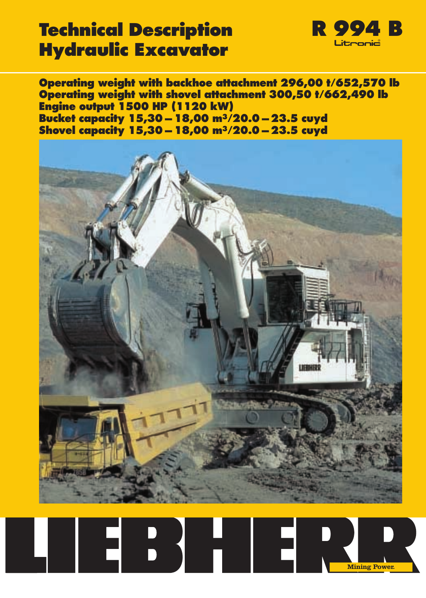### **Technical Description R 994 B Hydraulic Excavator**



**Operating weight with backhoe attachment 296,00 t/652,570 lb Operating weight with shovel attachment 300,50 t/662,490 lb Engine output 1500 HP (1120 kW) Bucket capacity 15,30 – 18,00 m3/20.0 – 23.5 cuyd Shovel capacity 15,30 – 18,00 m3/20.0 – 23.5 cuyd**



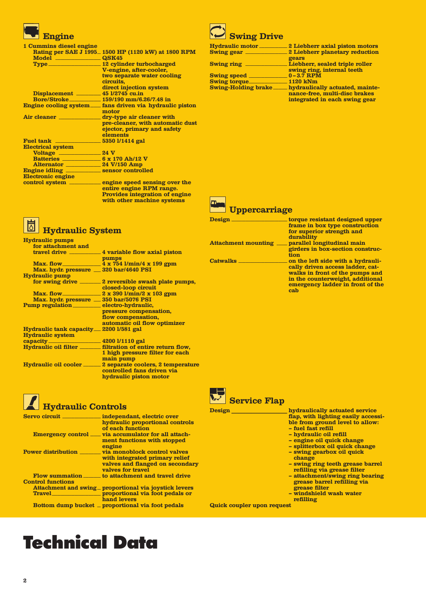

| 1 Cummins diesel engine                                 |                                                           |
|---------------------------------------------------------|-----------------------------------------------------------|
|                                                         | Rating per SAE J 1995_1500 HP (1120 kW) at 1800 RPM       |
| Model <u>Notel</u> QSK45                                |                                                           |
|                                                         | Type 12 cylinder turbocharged                             |
|                                                         | V-engine, after-cooler,                                   |
|                                                         | two separate water cooling                                |
|                                                         | circuits,                                                 |
|                                                         | direct injection system                                   |
| Displacement 45 1/2745 cu.in                            |                                                           |
|                                                         |                                                           |
|                                                         | Engine cooling system____fans driven via hydraulic piston |
|                                                         | motor                                                     |
| Air cleaner _________________ dry-type air cleaner with |                                                           |
|                                                         |                                                           |
|                                                         | pre-cleaner, with automatic dust                          |
|                                                         | ejector, primary and safety                               |
|                                                         | elements                                                  |
|                                                         |                                                           |
| <b>Electrical system</b>                                |                                                           |
| Voltage 24 V                                            |                                                           |
| <b>Batteries 6 x 170 Ah/12 V</b>                        |                                                           |
| Alternator 24 V/150 Amp                                 |                                                           |
| Engine idling _______________ sensor controlled         |                                                           |
| Electronic engine                                       |                                                           |
|                                                         | control system <u>engine</u> speed sensing over the       |
|                                                         | entire engine RPM range.                                  |

**entire engine RPM range. Provides integration of engine with other machine systems**



| <b>Hydraulic pumps</b>                          |                                                                  |
|-------------------------------------------------|------------------------------------------------------------------|
| for attachment and                              |                                                                  |
| travel drive                                    | 4 variable flow axial piston                                     |
|                                                 | pumps                                                            |
|                                                 |                                                                  |
| Max. hydr. pressure __ 320 bar/4640 PSI         |                                                                  |
| <b>Hydraulic pump</b>                           |                                                                  |
| for swing drive                                 | 2 reversible swash plate pumps,                                  |
|                                                 | closed-loop circuit                                              |
|                                                 |                                                                  |
|                                                 |                                                                  |
| Max. hydr. pressure __ 350 bar/5076 PSI         |                                                                  |
| Pump regulation ____________ electro-hydraulic, |                                                                  |
|                                                 | pressure compensation,                                           |
|                                                 | flow compensation,                                               |
|                                                 | automatic oil flow optimizer                                     |
| <b>Hydraulic tank capacity</b>                  | 2200 1/581 gal                                                   |
| <b>Hydraulic system</b>                         |                                                                  |
|                                                 |                                                                  |
|                                                 | Hydraulic oil filter _________ filtration of entire return flow, |
|                                                 | 1 high pressure filter for each                                  |
|                                                 | main pump                                                        |
| Hydraulic oil cooler                            | 2 separate coolers, 2 temperature                                |
|                                                 | controlled fans driven via                                       |
|                                                 | hydraulic piston motor                                           |
|                                                 |                                                                  |

### **Hydraulic Controls**

| Servo circuit             | independant, electric over                              |
|---------------------------|---------------------------------------------------------|
|                           | hydraulic proportional controls                         |
|                           | of each function                                        |
|                           | Emergency control _____ via accumulator for all attach- |
|                           | ment functions with stopped                             |
|                           | engine                                                  |
| <b>Power distribution</b> | via monoblock control valves                            |
|                           | with integrated primary relief                          |
|                           | valves and flanged on secondary                         |
|                           | valves for travel                                       |
| <b>Flow summation</b>     | to attachment and travel drive                          |
| <b>Control functions</b>  |                                                         |
|                           | Attachment and swing _ proportional via joystick levers |
| <b>Travel</b>             |                                                         |
|                           | proportional via foot pedals or<br>hand levers          |
|                           | Bottom dump bucket _ proportional via foot pedals       |
|                           |                                                         |



| <b>Hydraulic motor_</b>    | 2 Liebherr axial piston motors                                   |
|----------------------------|------------------------------------------------------------------|
| <b>Swing gear</b>          | 2 Liebherr planetary reduction                                   |
|                            | gears                                                            |
| <b>Swing ring</b>          | Liebherr, sealed triple roller                                   |
|                            | swing ring, internal teeth                                       |
| <b>Swing speed</b>         | $0 - 3.7$ RPM                                                    |
| <b>Swing torque</b>        | 1120 kNm                                                         |
| <b>Swing-Holding brake</b> | hydraulically actuated, mainte-<br>nance-free, multi-disc brakes |
|                            | integrated in each swing gear                                    |
|                            |                                                                  |



**Uppercarriage**

| Design.                    | torque resistant designed upper<br>frame in box type construction<br>for superior strength and<br>durability   |
|----------------------------|----------------------------------------------------------------------------------------------------------------|
| <b>Attachment mounting</b> | parallel longitudinal main                                                                                     |
|                            | girders in box-section construc-<br>tion                                                                       |
| <b>Catwalks</b>            | on the left side with a hydrauli-<br>cally driven access ladder, cat-                                          |
|                            | walks in front of the pumps and<br>in the counterweight, additional<br>emergency ladder in front of the<br>cab |
|                            |                                                                                                                |



**Service Flap**

| <b>Design</b>              | hydraulically actuated service<br>flap, with lighting easily accessi-<br>ble from ground level to allow:<br>- fuel fast refill<br>- hydraulic oil refill<br>- engine oil quick change<br>- splitterbox oil quick change<br>- swing gearbox oil quick<br>change<br>- swing ring teeth grease barrel<br>refilling via grease filter<br>- attachment/swing ring bearing<br>grease barrel refilling via<br>grease filter<br>- windshield wash water<br>refilling |
|----------------------------|--------------------------------------------------------------------------------------------------------------------------------------------------------------------------------------------------------------------------------------------------------------------------------------------------------------------------------------------------------------------------------------------------------------------------------------------------------------|
| Quick coupler upon request |                                                                                                                                                                                                                                                                                                                                                                                                                                                              |

# **Technical Data**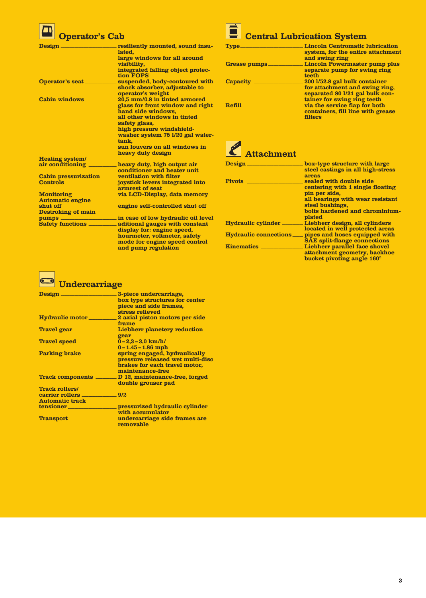### **Operator's Cab**

| Design                                             | resiliently mounted, sound insu-<br>lated.                                                                         |
|----------------------------------------------------|--------------------------------------------------------------------------------------------------------------------|
|                                                    | large windows for all around<br>visibility,                                                                        |
|                                                    | integrated falling object protec-<br>tion FOPS                                                                     |
| <b>Operator's seat</b>                             | suspended, body-contoured with<br>shock absorber, adjustable to                                                    |
| <b>Cabin windows</b>                               | operator's weight<br>$\_\$ 20,5 mm/0.8 in tinted armored<br>glass for front window and right<br>hand side windows. |
|                                                    | all other windows in tinted<br>safety glass,                                                                       |
|                                                    | high pressure windshield-<br>washer system 75 1/20 gal water-<br>tank.                                             |
|                                                    | sun louvers on all windows in<br>heavy duty design                                                                 |
| <b>Heating system/</b>                             |                                                                                                                    |
| air conditioning                                   | heavy duty, high output air                                                                                        |
|                                                    | conditioner and heater unit                                                                                        |
| Cabin pressurization _____ ventilation with filter |                                                                                                                    |
|                                                    |                                                                                                                    |
|                                                    | armrest of seat                                                                                                    |
|                                                    | Monitoring ______________ via LCD-Display, data memory                                                             |
| <b>Automatic engine</b>                            |                                                                                                                    |
| shut off                                           | engine self-controlled shut off                                                                                    |
| <b>Destroking of main</b>                          |                                                                                                                    |
|                                                    |                                                                                                                    |
|                                                    | Safety functions __________ aditional gauges with constant<br>display for: engine speed,                           |
|                                                    | hourmeter, voltmeter, safety<br>mode for engine speed control<br>and pump regulation                               |

|--|--|--|

| <b>Type</b>   | <b>Lincoln Centromatic lubrication</b><br>system, for the entire attachment<br>and swing ring                |
|---------------|--------------------------------------------------------------------------------------------------------------|
| Grease pumps_ | Lincoln Powermaster pump plus<br>separate pump for swing ring                                                |
| Capacity      | teeth<br>200 1/52.8 gal bulk container<br>for attachment and swing ring,<br>separated 80 1/21 gal bulk con-  |
| Refill        | tainer for swing ring teeth<br>via the service flap for both<br>containers, fill line with grease<br>filters |
|               |                                                                                                              |

**Attachment**

| <b>Design</b>                | box-type structure with large<br>steel castings in all high-stress<br><b>areas</b>                                                                                              |
|------------------------------|---------------------------------------------------------------------------------------------------------------------------------------------------------------------------------|
| <b>Pivots</b>                | sealed with double side<br>centering with 1 single floating<br>pin per side,<br>all bearings with wear resistant<br>steel bushings,<br>bolts hardened and chrominium-<br>plated |
| Hydraulic cylinder           | Liebherr design, all cylinders<br>located in well protected areas                                                                                                               |
| <b>Hydraulic connections</b> | pipes and hoses equipped with<br><b>SAE</b> split-flange connections                                                                                                            |
| <b>Kinematics</b>            | Liebherr parallel face shovel<br>attachment geometry, backhoe<br>bucket pivoting angle 160°                                                                                     |

### **Undercarriage**

| Design.                          | 3-piece undercarriage,<br>box type structures for center<br>piece and side frames,<br>stress relieved                                                |
|----------------------------------|------------------------------------------------------------------------------------------------------------------------------------------------------|
|                                  | Hydraulic motor 2 axial piston motors per side<br>frame                                                                                              |
| Travel gear                      | Liebherr planetery reduction<br>gear                                                                                                                 |
|                                  | $0 - 1.45 - 1.86$ mph                                                                                                                                |
|                                  | Parking brake _______________ spring engaged, hydraulically<br>pressure released wet multi-disc<br>brakes for each travel motor,<br>maintenance-free |
| Track components <b>_____</b> __ | D 12, maintenance-free, forged<br>double grouser pad                                                                                                 |
| Track rollers/                   |                                                                                                                                                      |
|                                  |                                                                                                                                                      |
| <b>Automatic track</b>           |                                                                                                                                                      |
|                                  | tensioner ________________________ pressurized hydraulic cylinder<br>with accumulator                                                                |
| <b>Transport</b> ______          | undercarriage side frames are<br>removable                                                                                                           |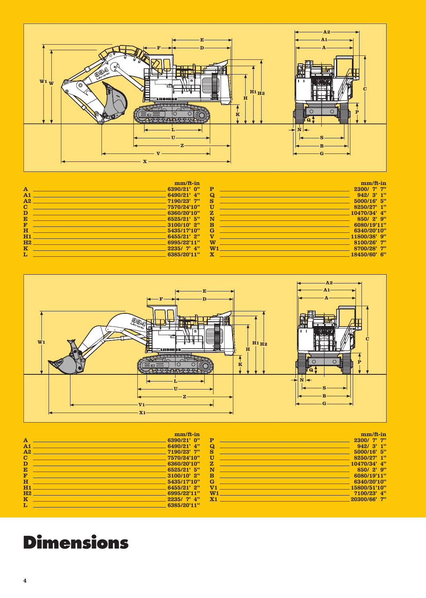

| $mm/ft-in$                                                                                                            |              |                   | mm/ft-in                                                                                                                                                                                                                                                                                                                                                                                                                                                                                                                                                                                                                                                                                                                                                                                                                                                                                                                                                                                                                                                                                                    |
|-----------------------------------------------------------------------------------------------------------------------|--------------|-------------------|-------------------------------------------------------------------------------------------------------------------------------------------------------------------------------------------------------------------------------------------------------------------------------------------------------------------------------------------------------------------------------------------------------------------------------------------------------------------------------------------------------------------------------------------------------------------------------------------------------------------------------------------------------------------------------------------------------------------------------------------------------------------------------------------------------------------------------------------------------------------------------------------------------------------------------------------------------------------------------------------------------------------------------------------------------------------------------------------------------------|
| $6390/21'$ 0"                                                                                                         |              |                   | 2300/ 7"                                                                                                                                                                                                                                                                                                                                                                                                                                                                                                                                                                                                                                                                                                                                                                                                                                                                                                                                                                                                                                                                                                    |
| $6490/21'$ $4"$                                                                                                       | $\Omega$     |                   | 942/3'1"                                                                                                                                                                                                                                                                                                                                                                                                                                                                                                                                                                                                                                                                                                                                                                                                                                                                                                                                                                                                                                                                                                    |
| <u>2001 - 2001 - 2002 - 2003 - 2004 - 2005 - 2007 - 2007 - 2008 - 2008 - 2008 - 2008 - 2008 - 2008 - 2008 - 2008 </u> | s            |                   | $5000/16$ 5"                                                                                                                                                                                                                                                                                                                                                                                                                                                                                                                                                                                                                                                                                                                                                                                                                                                                                                                                                                                                                                                                                                |
|                                                                                                                       | U            | <b>CONTRACTOR</b> | $8250/27'$ 1"                                                                                                                                                                                                                                                                                                                                                                                                                                                                                                                                                                                                                                                                                                                                                                                                                                                                                                                                                                                                                                                                                               |
|                                                                                                                       |              |                   |                                                                                                                                                                                                                                                                                                                                                                                                                                                                                                                                                                                                                                                                                                                                                                                                                                                                                                                                                                                                                                                                                                             |
|                                                                                                                       | $\mathbf{N}$ |                   | $850/2$ ? 9"                                                                                                                                                                                                                                                                                                                                                                                                                                                                                                                                                                                                                                                                                                                                                                                                                                                                                                                                                                                                                                                                                                |
| . The contract of the contract of the contract of the contract $3100/10^{\circ}$ $2^{\prime\prime}$                   | - B          |                   | 6080/19'11"                                                                                                                                                                                                                                                                                                                                                                                                                                                                                                                                                                                                                                                                                                                                                                                                                                                                                                                                                                                                                                                                                                 |
| $H = 5435/17'10''$                                                                                                    |              |                   | 6340/20'10''                                                                                                                                                                                                                                                                                                                                                                                                                                                                                                                                                                                                                                                                                                                                                                                                                                                                                                                                                                                                                                                                                                |
| $-6455/21'$ 2"                                                                                                        | $\mathbf{V}$ |                   | $11800/38$ ' 9"                                                                                                                                                                                                                                                                                                                                                                                                                                                                                                                                                                                                                                                                                                                                                                                                                                                                                                                                                                                                                                                                                             |
|                                                                                                                       | W            |                   | $8100/26'$ 7"                                                                                                                                                                                                                                                                                                                                                                                                                                                                                                                                                                                                                                                                                                                                                                                                                                                                                                                                                                                                                                                                                               |
|                                                                                                                       |              |                   | 8700/28'7"                                                                                                                                                                                                                                                                                                                                                                                                                                                                                                                                                                                                                                                                                                                                                                                                                                                                                                                                                                                                                                                                                                  |
| $-6385/20'11"$                                                                                                        |              |                   | $18450/60'$ 6"                                                                                                                                                                                                                                                                                                                                                                                                                                                                                                                                                                                                                                                                                                                                                                                                                                                                                                                                                                                                                                                                                              |
|                                                                                                                       |              |                   | <b>P</b> Providence of the contract of the contract of the contract of the contract of the contract of the contract of<br><b>EXECUTE:</b> $\frac{10470/34^2}{4^2}$<br><b>Service Service</b><br>$\mathbf{G}$ and $\mathbf{G}$ and $\mathbf{G}$ and $\mathbf{G}$ and $\mathbf{G}$ and $\mathbf{G}$ and $\mathbf{G}$ and $\mathbf{G}$ and $\mathbf{G}$ and $\mathbf{G}$ and $\mathbf{G}$ and $\mathbf{G}$ and $\mathbf{G}$ and $\mathbf{G}$ and $\mathbf{G}$ and $\mathbf{G}$ and $\mathbf{G}$ and<br>a sa kabilang sa kabilang sa pag-agamatan ng mga sanggunang sa pag-agamatan ng mga sanggunang sa pag-agamatan<br>Mga sanggunang sa pag-agamatan ng mga sanggunang sa pag-agamatan ng mga sanggunang sa pag-agamatan ng mga sang<br><b>Service Service</b><br><b>W1 Example 2008 Contract Contract Contract Contract Contract Contract Contract Contract Contract Contract Contract Contract Contract Contract Contract Contract Contract Contract Contract Contract Contract Contract Con</b><br>$\mathbf{x}$ and $\mathbf{x}$ are the set of $\mathbf{x}$ and $\mathbf{x}$ are the set of $\mathbf{x}$ |



| $\mathbf{A}$<br>A <sub>1</sub><br>A <sub>2</sub><br>C<br>D<br>E<br>F<br>$\bf H$<br>H1 | $mm/ft-in$<br>$6390/21'$ 0"<br>$6490/21'$ 4"<br>$7190/23'$ 7"<br>7570/24'10"<br>6360/20'10"<br>6525/21'5"<br>$3100/10'$ 2"<br>5435/17'10''<br>$6455/21'$ 2" | P<br>$\Omega$<br>s<br>ΠT<br>$\mathbf{z}$<br>N<br><b>B</b><br>G<br>V1 | $mm/ft-in$<br>$2300/7'$ 7"<br>942/3'1"<br>$5000/16$ 5"<br>8250/27' 1"<br>$10470/34'$ 4"<br>$850/2$ $9"$<br>6080/19'11"<br>6340/20'10"<br>15800/51'10" |
|---------------------------------------------------------------------------------------|-------------------------------------------------------------------------------------------------------------------------------------------------------------|----------------------------------------------------------------------|-------------------------------------------------------------------------------------------------------------------------------------------------------|
|                                                                                       |                                                                                                                                                             |                                                                      |                                                                                                                                                       |
| H2<br>$\overline{\mathbf{K}}$                                                         | 6995/22'11"<br>$2235/7'$ 4"                                                                                                                                 | W <sub>1</sub><br>X <sub>1</sub>                                     | $7100/23'$ 4"<br>$20300/66'$ 7"                                                                                                                       |
|                                                                                       | 6385/20'11"                                                                                                                                                 |                                                                      |                                                                                                                                                       |

## **Dimensions**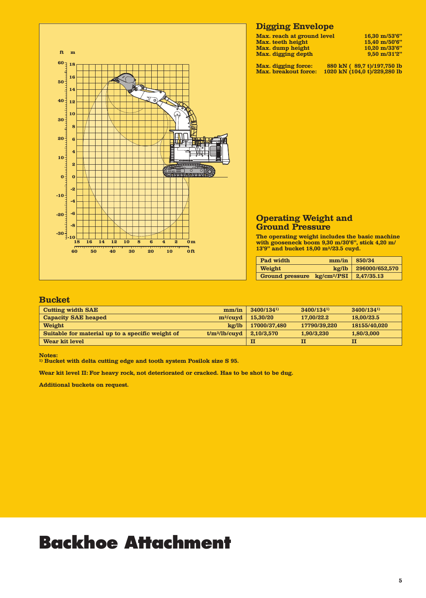

#### **Digging Envelope**

| Max. reach at ground level | $16.30 \text{ m}/53'6''$ |
|----------------------------|--------------------------|
| Max. teeth height          | $15.40 \text{ m}/50'6"$  |
| Max. dump height           | $10.20$ m/33'6"          |
| Max. digging depth         | $9.50 \text{ m}/31'2"$   |

**Max. reach at ground level 16,30 m/53'6" Max. digging depth 9,50 m/31'2"**

**Max. digging force: 880 kN ( 89,7 t)/197,750 lb Max. breakout force: 1020 kN (104,0 t)/229,280 lb**

| <b>Operating Weight and</b> |  |
|-----------------------------|--|
| <b>Ground Pressure</b>      |  |

**The operating weight includes the basic machine with gooseneck boom 9,30 m/30'6", stick 4,20 m/ 13'9" and bucket 18,00 m3/23.5 cuyd.**

| Pad width                               | mm/in         | 850/34         |
|-----------------------------------------|---------------|----------------|
| Weight                                  | $k\alpha$ /lb | 296000/652,570 |
| Ground pressure kg/cm <sup>2</sup> /PSI |               | 2,47/35.13     |

#### **Bucket**

| <b>Cutting width SAE</b>                         | mm/in           | 3400/1341)   | 3400/1341)   | 3400/1341)   |
|--------------------------------------------------|-----------------|--------------|--------------|--------------|
| <b>Capacity SAE heaped</b>                       | $m^3/c$ uyd     | 15,30/20     | 17,00/22.2   | 18,00/23.5   |
| Weight                                           | $k\alpha$ /lb   | 17000/37,480 | 17790/39.220 | 18155/40.020 |
| Suitable for material up to a specific weight of | $t/m^3/lb/cuvd$ | 2.10/3.570   | 1.90/3.230   | 1,80/3,000   |
| Wear kit level                                   |                 | п            | П            |              |

**Notes:**

**1) Bucket with delta cutting edge and tooth system Posilok size S 95.**

**Wear kit level II: For heavy rock, not deteriorated or cracked. Has to be shot to be dug.**

**Additional buckets on request.**

## **Backhoe Attachment**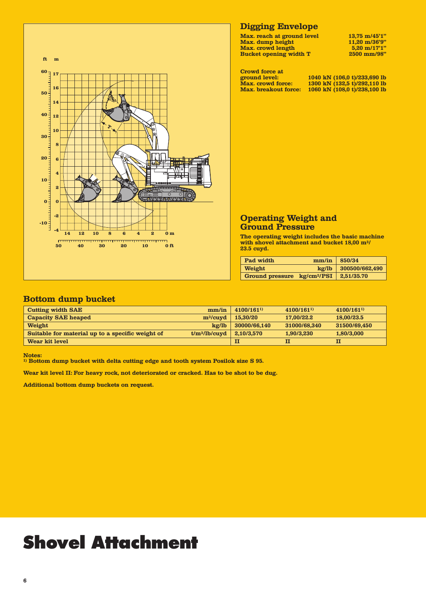

#### **Digging Envelope**

Max. reach at ground level 13,75 m/45'1"<br>Max. dump height 11,20 m/36'9" **Max. dump height 11,20 m/36'9" Max. crowd length 5,20 m/17'1" Bucket opening width T** 2500 mm/98"

| Crowd force at              |                              |
|-----------------------------|------------------------------|
| ground level:               | 1040 kN (106,0 t)/233,690 lb |
| <b>Max.</b> crowd force:    | 1300 kN (132,5 t)/292,110 lb |
| <b>Max.</b> breakout force: | 1060 kN (108,0 t)/238,100 lb |

#### **Operating Weight and Ground Pressure**

**The operating weight includes the basic machine with shovel attachment and bucket 18,00 m3/ 23.5 cuyd.**

| Pad width                               | mm/in         | 850/34         |
|-----------------------------------------|---------------|----------------|
| Weight                                  | $k\alpha$ /lb | 300500/662,490 |
| Ground pressure kg/cm <sup>2</sup> /PSI |               | 2,51/35.70     |

#### **Bottom dump bucket**

| <b>Cutting width SAE</b>                         | mm/in           | 4100/1611)   | 4100/1611)   | 4100/1611)   |
|--------------------------------------------------|-----------------|--------------|--------------|--------------|
| <b>Capacity SAE heaped</b>                       | $m^3$ /cuyd     | 15,30/20     | 17,00/22.2   | 18,00/23.5   |
| Weight                                           | $k\alpha/lb$    | 30000/66,140 | 31000/68.340 | 31500/69.450 |
| Suitable for material up to a specific weight of | $t/m^3/lb/cuvd$ | 2,10/3,570   | 1.90/3.230   | 1,80/3,000   |
| Wear kit level                                   |                 | п            | П            |              |

**Notes:**

**1) Bottom dump bucket with delta cutting edge and tooth system Posilok size S 95.**

**Wear kit level II: For heavy rock, not deteriorated or cracked. Has to be shot to be dug.**

**Additional bottom dump buckets on request.**

# **Shovel Attachment**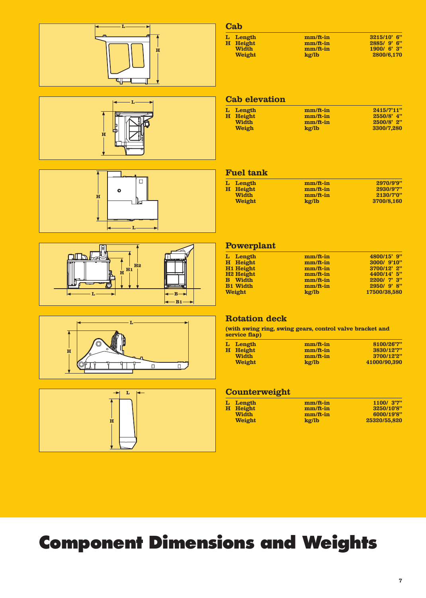











### **Cab**

| L Length      | $mm/ft-in$    | $3215/10'$ 6" |
|---------------|---------------|---------------|
| H Height      | $mm/ft-in$    | $2885/9'$ 6"  |
| <b>Width</b>  | $mm/ft-in$    | 1900/6'3"     |
| <b>Weight</b> | $k\alpha$ /lb | 2800/6,170    |

**Weight 2800/6,170** 

#### **Cab elevation**

| L Length     | $mm/ft-in$ | 2415/7'11"    |
|--------------|------------|---------------|
| H Height     | $mm/ft-in$ | $2550/8$ ' 4" |
| <b>Width</b> | $mm/ft-in$ | $2500/8$ ' 2" |
| <b>Weigh</b> | kg/lb      | 3300/7.280    |

#### **Fuel tank**

| L Length | $mm/ft-in$ | 2970/9'9"  |
|----------|------------|------------|
| H Height | $mm/ft-in$ | 2930/9'7"  |
| Width    | $mm/ft-in$ | 2130/7'0"  |
| Weight   | kg/lb      | 3700/8.160 |

#### **Powerplant**

| L Length              | $mm/ft-in$ | 4800/15' 9"  |
|-----------------------|------------|--------------|
| H Height              | mm/ft-in   | 3000/ 9'10"  |
| H1 Height             | $mm/ft-in$ | 3700/12' 2"  |
| H <sub>2</sub> Height | $mm/ft-in$ | 4400/14' 5"  |
| <b>B</b> Width        | $mm/ft-in$ | 2200/7'3"    |
| <b>B1</b> Width       | mm/ft-in   | 2950/9'8"    |
| Weight                | kg/lb      | 17500/38.580 |

#### **Rotation deck**

**(with swing ring, swing gears, control valve bracket and service flap)**

| L Length      | $mm/ft-in$    | 8100/26'7"   |
|---------------|---------------|--------------|
| H Height      | $mm/ft-in$    | 3830/12"7"   |
| <b>Width</b>  | $mm/ft-in$    | 3700/12'2"   |
| <b>Weight</b> | $k\alpha$ /lb | 41000/90.390 |

#### **Counterweight**

| $mm/ft-in$    | 1100/ 3'7"   |
|---------------|--------------|
| $mm/ft-in$    | 3250/10'8"   |
| $mm/ft-in$    | 6000/19'8"   |
| $k\alpha$ /lb | 25320/55,820 |
|               |              |

# **Component Dimensions and Weights**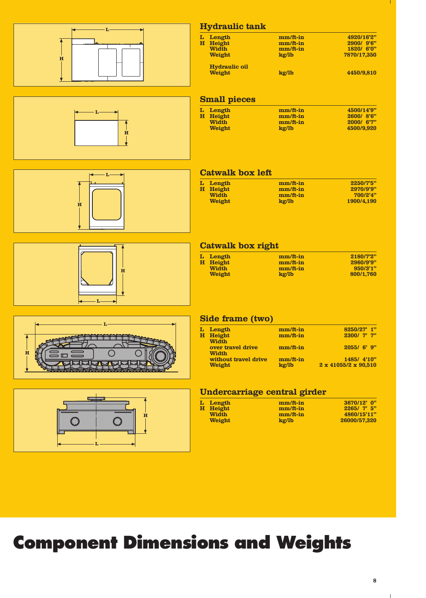







### **Hydraulic tank**

| L Length             | $mm/ft-in$ | 4920/16'2"  |
|----------------------|------------|-------------|
| H Height             | mm/ft-in   | 2900/ 9'6"  |
| <b>Width</b>         | $mm/ft-in$ | 1820/ 6'0"  |
| <b>Weight</b>        | kg/lb      | 7870/17.350 |
| <b>Hydraulic oil</b> |            |             |
| <b>Weight</b>        | kg/lb      | 4450/9.810  |
|                      |            |             |

### **Small pieces**

| L Length      | $mm/ft-in$    | 4500/14'9" |
|---------------|---------------|------------|
| H Height      | $mm/ft-in$    | 2600/8'6"  |
| Width         | $mm/ft-in$    | 2000/6"    |
| <b>Weight</b> | $k\alpha$ /lb | 4500/9.920 |
|               |               |            |

#### **Catwalk box left**

| L Length      | $mm/ft-in$    | 2250/7'5"             |
|---------------|---------------|-----------------------|
| H Height      | $mm/ft-in$    | 2970/9'9"             |
| Width         | $mm/ft-in$    | 700/2 <sup>2</sup> 4" |
| <b>Weight</b> | $k\alpha$ /lb | 1900/4.190            |

#### **Catwalk box right**

| L Length      | $mm/ft-in$ | 2180/7'2" |
|---------------|------------|-----------|
| H Height      | $mm/ft-in$ | 2960/9'9" |
| <b>Width</b>  | $mm/ft-in$ | 950/3'1"  |
| <b>Weight</b> | kg/lb      | 800/1.760 |





#### **Side frame (two)**

| L | Length               | $mm/ft-in$ | 8250/27' 1"                      |
|---|----------------------|------------|----------------------------------|
| н | Height               | $mm/ft-in$ | 2300/ 7' 7"                      |
|   | <b>Width</b>         |            |                                  |
|   | over travel drive    | $mm/ft-in$ | 2055/6'9"                        |
|   | Width                |            |                                  |
|   | without travel drive | mm/ft-in   | 1485/ 4'10"                      |
|   | Weight               | kg/lb      | $2 \times 41055/2 \times 90,510$ |
|   |                      |            |                                  |

#### **Undercarriage central girder**

| L Length     | $mm/ft-in$    | 3670/12' 0"  |
|--------------|---------------|--------------|
| H Height     | $mm/ft-in$    | 2265/7'5''   |
| <b>Width</b> | $mm/ft-in$    | 4860/15'11"  |
| Weight       | $k\alpha$ /lb | 26000/57.320 |

# **Component Dimensions and Weights**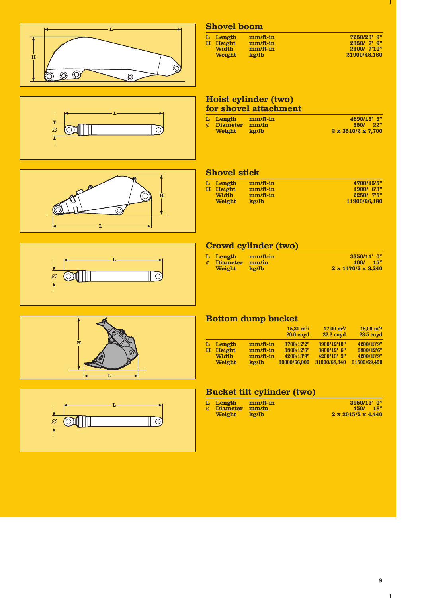| H<br>$\odot$<br>$\odot$<br>Õ)<br>$\circledcirc$ | <b>Shovel boom</b><br>7250/23' 9"<br>L Length<br>mm/ft-in<br>H Height<br>$mm/ft-in$<br>2350/ 7' 9"<br><b>Width</b><br>mm/ft-in<br>2400/ 7'10"<br><b>Weight</b><br>kg/lb<br>21900/48,180                                                                                                                                                                                                                                            |
|-------------------------------------------------|------------------------------------------------------------------------------------------------------------------------------------------------------------------------------------------------------------------------------------------------------------------------------------------------------------------------------------------------------------------------------------------------------------------------------------|
| C                                               | Hoist cylinder (two)<br>for shovel attachment<br>4690/15' 5"<br>L Length<br>mm/ft-in<br>$\emptyset$ Diameter mm/in<br>550/ 22"<br>Weight<br>kg/lb<br>$2 \times 3510/2 \times 7,700$                                                                                                                                                                                                                                                |
| $\bf H$<br>$\odot$                              | <b>Shovel stick</b><br>L Length<br>mm/ft-in<br>4700/15'5"<br>H Height<br>mm/ft-in<br>1900/ 6'3"<br>Width<br>mm/ft-in<br>2250/ 7'5"<br>Weight<br>kg/lb<br>11900/26,180                                                                                                                                                                                                                                                              |
| $\circ$<br>Ø                                    | Crowd cylinder (two)<br>mm/ft-in<br>L Length<br>3350/11' 0"<br>$\phi$ Diameter<br>mm/in<br>400/ 15"<br><b>Weight</b><br>kg/lb<br>$2 \times 1470/2 \times 3,240$                                                                                                                                                                                                                                                                    |
| $\bf H$                                         | <b>Bottom dump bucket</b><br>$15,30 \text{ m}^3$ /<br>$17,00 \text{ m}^3$ /<br>$18,00 \text{ m}^3$ /<br><b>20.0 cuyd</b><br>22.2 cuyd<br>23.5 cuyd<br>L Length<br>mm/ft-in<br>3700/12'2"<br>3900/12'10"<br>4200/13'9"<br>H Height<br>mm/ft-in<br>3800/12' 6"<br>3800/12'6"<br>3800/12'6"<br><b>Width</b><br>4200/13' 9"<br>mm/ft-in<br>4200/13'9"<br>4200/13'9"<br>Weight<br>kg/lb<br>30000/66,000<br>31000/68,340<br>31500/69,450 |
| $\bigcirc$<br>Ø                                 | <b>Bucket tilt cylinder (two)</b><br>mm/ft-in<br>L Length<br>3950/13' 0"<br>$\phi$ Diameter<br>mm/in<br>450/ 18"<br>Weight<br>kg/lb<br>$2 \times 2015/2 \times 4,440$                                                                                                                                                                                                                                                              |